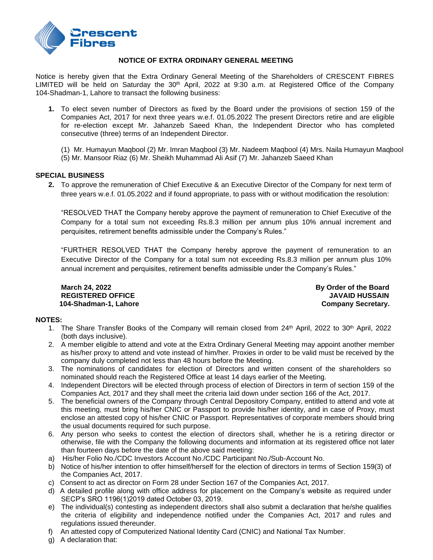

## **NOTICE OF EXTRA ORDINARY GENERAL MEETING**

Notice is hereby given that the Extra Ordinary General Meeting of the Shareholders of CRESCENT FIBRES LIMITED will be held on Saturday the 30<sup>th</sup> April, 2022 at 9:30 a.m. at Registered Office of the Company 104-Shadman-1, Lahore to transact the following business:

- **1.** To elect seven number of Directors as fixed by the Board under the provisions of section 159 of the Companies Act, 2017 for next three years w.e.f. 01.05.2022 The present Directors retire and are eligible for re-election except Mr. Jahanzeb Saeed Khan, the Independent Director who has completed consecutive (three) terms of an Independent Director.
	- (1) Mr. Humayun Maqbool (2) Mr. Imran Maqbool (3) Mr. Nadeem Maqbool (4) Mrs. Naila Humayun Maqbool
	- (5) Mr. Mansoor Riaz (6) Mr. Sheikh Muhammad Ali Asif (7) Mr. Jahanzeb Saeed Khan

## **SPECIAL BUSINESS**

**2.** To approve the remuneration of Chief Executive & an Executive Director of the Company for next term of three years w.e.f. 01.05.2022 and if found appropriate, to pass with or without modification the resolution:

"RESOLVED THAT the Company hereby approve the payment of remuneration to Chief Executive of the Company for a total sum not exceeding Rs.8.3 million per annum plus 10% annual increment and perquisites, retirement benefits admissible under the Company's Rules."

"FURTHER RESOLVED THAT the Company hereby approve the payment of remuneration to an Executive Director of the Company for a total sum not exceeding Rs.8.3 million per annum plus 10% annual increment and perquisites, retirement benefits admissible under the Company's Rules."

**REGISTERED OFFICE JAVAID HUSSAIN 104-Shadman-1, Lahore Company Secretary.** Company Secretary.

**March 24, 2022 By Order of the Board** 

# **NOTES:**

- 1. The Share Transfer Books of the Company will remain closed from 24<sup>th</sup> April, 2022 to 30<sup>th</sup> April, 2022 (both days inclusive).
- 2. A member eligible to attend and vote at the Extra Ordinary General Meeting may appoint another member as his/her proxy to attend and vote instead of him/her. Proxies in order to be valid must be received by the company duly completed not less than 48 hours before the Meeting.
- 3. The nominations of candidates for election of Directors and written consent of the shareholders so nominated should reach the Registered Office at least 14 days earlier of the Meeting.
- 4. Independent Directors will be elected through process of election of Directors in term of section 159 of the Companies Act, 2017 and they shall meet the criteria laid down under section 166 of the Act, 2017.
- 5. The beneficial owners of the Company through Central Depository Company, entitled to attend and vote at this meeting, must bring his/her CNIC or Passport to provide his/her identity, and in case of Proxy, must enclose an attested copy of his/her CNIC or Passport. Representatives of corporate members should bring the usual documents required for such purpose.
- 6. Any person who seeks to contest the election of directors shall, whether he is a retiring director or otherwise, file with the Company the following documents and information at its registered office not later than fourteen days before the date of the above said meeting:
- a) His/her Folio No./CDC Investors Account No./CDC Participant No./Sub-Account No.
- b) Notice of his/her intention to offer himself/herself for the election of directors in terms of Section 159(3) of the Companies Act, 2017.
- c) Consent to act as director on Form 28 under Section 167 of the Companies Act, 2017.
- d) A detailed profile along with office address for placement on the Company's website as required under SECP's SRO 1196(1)2019 dated October 03, 2019.
- e) The individual(s) contesting as independent directors shall also submit a declaration that he/she qualifies the criteria of eligibility and independence notified under the Companies Act, 2017 and rules and regulations issued thereunder.
- f) An attested copy of Computerized National Identity Card (CNIC) and National Tax Number.
- g) A declaration that: